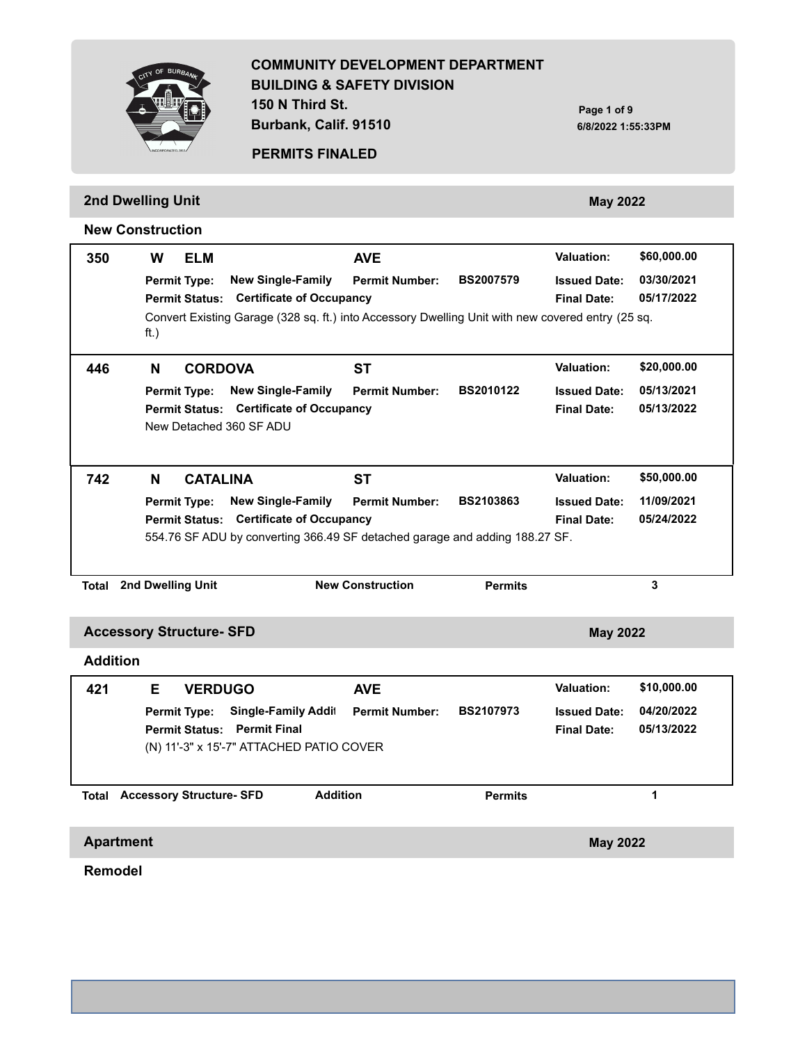**COMMUNITY DEVELOPMENT DEPARTMENT BUILDING & SAFETY DIVISION 150 N Third St.**

**Burbank, Calif. 91510**

**PERMITS FINALED**

|                  | 2nd Dwelling Unit<br><b>May 2022</b>                                                                                                |                                                                                                                                                               |                  |                                           |                          |  |  |  |  |
|------------------|-------------------------------------------------------------------------------------------------------------------------------------|---------------------------------------------------------------------------------------------------------------------------------------------------------------|------------------|-------------------------------------------|--------------------------|--|--|--|--|
|                  | <b>New Construction</b>                                                                                                             |                                                                                                                                                               |                  |                                           |                          |  |  |  |  |
| 350              | W<br><b>ELM</b>                                                                                                                     | <b>AVE</b>                                                                                                                                                    |                  | <b>Valuation:</b>                         | \$60,000.00              |  |  |  |  |
|                  | <b>New Single-Family</b><br><b>Permit Type:</b><br><b>Permit Status:</b>                                                            | <b>Permit Number:</b><br><b>Certificate of Occupancy</b><br>Convert Existing Garage (328 sq. ft.) into Accessory Dwelling Unit with new covered entry (25 sq. | <b>BS2007579</b> | <b>Issued Date:</b><br><b>Final Date:</b> | 03/30/2021<br>05/17/2022 |  |  |  |  |
|                  | ft.)                                                                                                                                |                                                                                                                                                               |                  |                                           |                          |  |  |  |  |
| 446              | N<br><b>CORDOVA</b>                                                                                                                 | <b>ST</b>                                                                                                                                                     |                  | <b>Valuation:</b>                         | \$20,000.00              |  |  |  |  |
|                  | <b>New Single-Family</b><br><b>Permit Type:</b><br>Permit Status: Certificate of Occupancy<br>New Detached 360 SF ADU               | <b>Permit Number:</b>                                                                                                                                         | <b>BS2010122</b> | <b>Issued Date:</b><br><b>Final Date:</b> | 05/13/2021<br>05/13/2022 |  |  |  |  |
| 742              | N<br><b>CATALINA</b>                                                                                                                | SТ                                                                                                                                                            |                  | <b>Valuation:</b>                         | \$50,000.00              |  |  |  |  |
|                  | <b>New Single-Family</b><br><b>Permit Type:</b><br>Permit Status: Certificate of Occupancy                                          | <b>Permit Number:</b><br>554.76 SF ADU by converting 366.49 SF detached garage and adding 188.27 SF.                                                          | <b>BS2103863</b> | <b>Issued Date:</b><br><b>Final Date:</b> | 11/09/2021<br>05/24/2022 |  |  |  |  |
| Total            | 2nd Dwelling Unit                                                                                                                   | <b>New Construction</b>                                                                                                                                       | <b>Permits</b>   |                                           | 3                        |  |  |  |  |
|                  | <b>Accessory Structure- SFD</b>                                                                                                     |                                                                                                                                                               |                  | <b>May 2022</b>                           |                          |  |  |  |  |
| <b>Addition</b>  |                                                                                                                                     |                                                                                                                                                               |                  |                                           |                          |  |  |  |  |
| 421              | E.<br><b>VERDUGO</b>                                                                                                                | <b>AVE</b>                                                                                                                                                    |                  | <b>Valuation:</b>                         | \$10,000.00              |  |  |  |  |
|                  | <b>Single-Family Addit</b><br><b>Permit Type:</b><br><b>Permit Status: Permit Final</b><br>(N) 11'-3" x 15'-7" ATTACHED PATIO COVER | <b>Permit Number:</b>                                                                                                                                         | <b>BS2107973</b> | <b>Issued Date:</b><br><b>Final Date:</b> | 04/20/2022<br>05/13/2022 |  |  |  |  |
|                  |                                                                                                                                     |                                                                                                                                                               |                  |                                           |                          |  |  |  |  |
|                  | <b>Total Accessory Structure- SFD</b>                                                                                               | <b>Addition</b>                                                                                                                                               | <b>Permits</b>   |                                           | 1                        |  |  |  |  |
| <b>Apartment</b> |                                                                                                                                     |                                                                                                                                                               |                  | <b>May 2022</b>                           |                          |  |  |  |  |

**Remodel**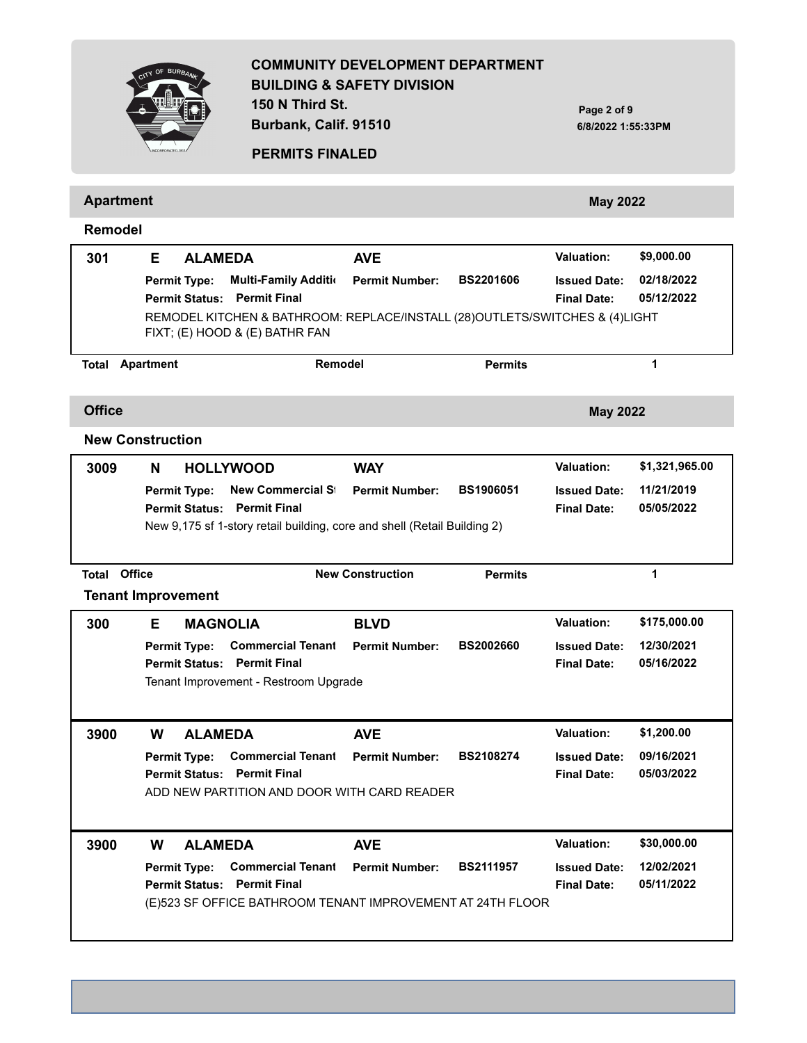**COMMUNITY DEVELOPMENT DEPARTMENT BUILDING & SAFETY DIVISION 150 N Third St. Burbank, Calif. 91510 Page 2 of 9 6/8/2022 1:55:33PM PERMITS FINALED Apartment May 2022 Remodel** Permit Type: Multi-Family Additi¤ Permit Number: BS2201606 Issued Date:  **301 E 02/18/2022 ALAMEDA AVE Permit Status: Permit Final Final Date: 05/12/2022** REMODEL KITCHEN & BATHROOM: REPLACE/INSTALL (28)OUTLETS/SWITCHES & (4)LIGHT FIXT; (E) HOOD & (E) BATHR FAN **Valuation: \$9,000.00 Total Apartment Remodel Permits 1 Office May 2022 New Construction Permit Type: Permit Number: BS1906051 Issued Date: New Commercial Structure 3009 N 11/21/2019 HOLLYWOOD WAY Permit Status: Permit Final Final Date: 05/05/2022** New 9,175 sf 1-story retail building, core and shell (Retail Building 2) **Valuation: \$1,321,965.00 Total Office New Construction Permits 1 Tenant Improvement** Permit Type: Commercial Tenant Permit Number: BS2002660 Issued Date:  **300 E 12/30/2021 MAGNOLIA BLVD Permit Status: Permit Final Final Date: 05/16/2022** Tenant Improvement - Restroom Upgrade **Valuation: \$175,000.00 Permit Type: Permit Number: BS2108274 Issued Date: Commercial Tenant Improvement 3900 W 09/16/2021 ALAMEDA AVE Permit Status: Permit Final Final Date: 05/03/2022** ADD NEW PARTITION AND DOOR WITH CARD READER **Valuation: \$1,200.00 Permit Type: Permit Number: BS2111957 Issued Date: Commercial Tenant Improvement 3900 W 12/02/2021 ALAMEDA AVE Permit Status: Permit Final Final Date: 05/11/2022** (E)523 SF OFFICE BATHROOM TENANT IMPROVEMENT AT 24TH FLOOR **Valuation: \$30,000.00**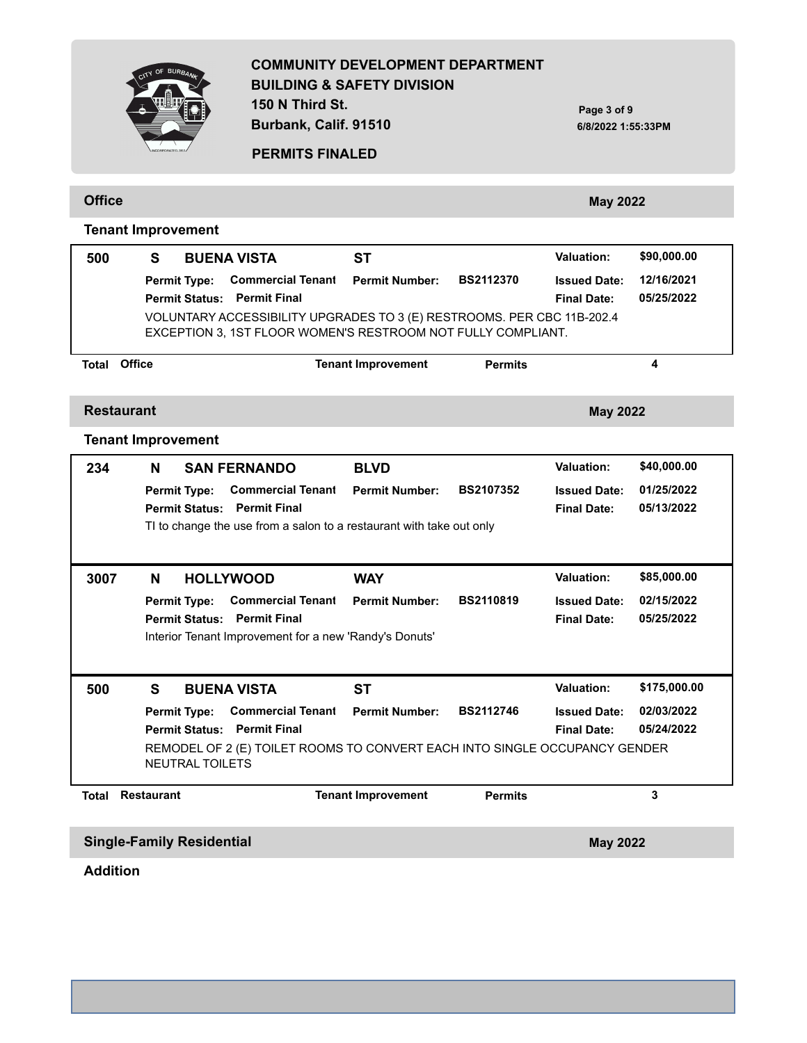**150 N Third St. Burbank, Calif. 91510**

**Page 3 of 9 6/8/2022 1:55:33PM**

# **BUR**

**Tenant Improvement**

#### **PERMITS FINALED**

**Office May 2022** 

| 500               | S<br><b>BUENA VISTA</b>                                                                         | <b>ST</b>                 |                  | <b>Valuation:</b>                         | \$90,000.00  |
|-------------------|-------------------------------------------------------------------------------------------------|---------------------------|------------------|-------------------------------------------|--------------|
|                   | <b>Commercial Tenant</b><br><b>Permit Type:</b>                                                 | <b>Permit Number:</b>     | <b>BS2112370</b> | <b>Issued Date:</b>                       | 12/16/2021   |
|                   | <b>Permit Final</b><br><b>Permit Status:</b>                                                    |                           |                  | <b>Final Date:</b>                        | 05/25/2022   |
|                   | VOLUNTARY ACCESSIBILITY UPGRADES TO 3 (E) RESTROOMS. PER CBC 11B-202.4                          |                           |                  |                                           |              |
|                   | EXCEPTION 3, 1ST FLOOR WOMEN'S RESTROOM NOT FULLY COMPLIANT.                                    |                           |                  |                                           |              |
| Total             | Office                                                                                          | <b>Tenant Improvement</b> | <b>Permits</b>   |                                           | 4            |
|                   |                                                                                                 |                           |                  |                                           |              |
| <b>Restaurant</b> |                                                                                                 |                           |                  | <b>May 2022</b>                           |              |
|                   | <b>Tenant Improvement</b>                                                                       |                           |                  |                                           |              |
| 234               | <b>SAN FERNANDO</b><br>N                                                                        | <b>BLVD</b>               |                  | <b>Valuation:</b>                         | \$40,000.00  |
|                   | <b>Commercial Tenant</b><br><b>Permit Type:</b>                                                 | <b>Permit Number:</b>     | <b>BS2107352</b> | <b>Issued Date:</b>                       | 01/25/2022   |
|                   | <b>Permit Final</b><br><b>Permit Status:</b>                                                    |                           |                  | <b>Final Date:</b>                        | 05/13/2022   |
|                   | TI to change the use from a salon to a restaurant with take out only                            |                           |                  |                                           |              |
|                   |                                                                                                 |                           |                  |                                           |              |
| 3007              | <b>HOLLYWOOD</b><br>N                                                                           | <b>WAY</b>                |                  | <b>Valuation:</b>                         | \$85,000.00  |
|                   |                                                                                                 |                           | <b>BS2110819</b> |                                           | 02/15/2022   |
|                   | <b>Commercial Tenant</b><br><b>Permit Type:</b><br><b>Permit Final</b><br><b>Permit Status:</b> | <b>Permit Number:</b>     |                  | <b>Issued Date:</b><br><b>Final Date:</b> | 05/25/2022   |
|                   | Interior Tenant Improvement for a new 'Randy's Donuts'                                          |                           |                  |                                           |              |
|                   |                                                                                                 |                           |                  |                                           |              |
|                   |                                                                                                 |                           |                  |                                           |              |
| 500               | S<br><b>BUENA VISTA</b>                                                                         | <b>ST</b>                 |                  | Valuation:                                | \$175,000.00 |
|                   | <b>Commercial Tenant</b><br><b>Permit Type:</b>                                                 | <b>Permit Number:</b>     | <b>BS2112746</b> | <b>Issued Date:</b>                       | 02/03/2022   |
|                   | <b>Permit Final</b><br><b>Permit Status:</b>                                                    |                           |                  | <b>Final Date:</b>                        | 05/24/2022   |
|                   | REMODEL OF 2 (E) TOILET ROOMS TO CONVERT EACH INTO SINGLE OCCUPANCY GENDER                      |                           |                  |                                           |              |
|                   | <b>NEUTRAL TOILETS</b>                                                                          |                           |                  |                                           |              |
| <b>Total</b>      | <b>Restaurant</b>                                                                               | <b>Tenant Improvement</b> | <b>Permits</b>   |                                           | 3            |
|                   |                                                                                                 |                           |                  |                                           |              |
|                   | <b>Single-Family Residential</b>                                                                |                           |                  | <b>May 2022</b>                           |              |

**Addition**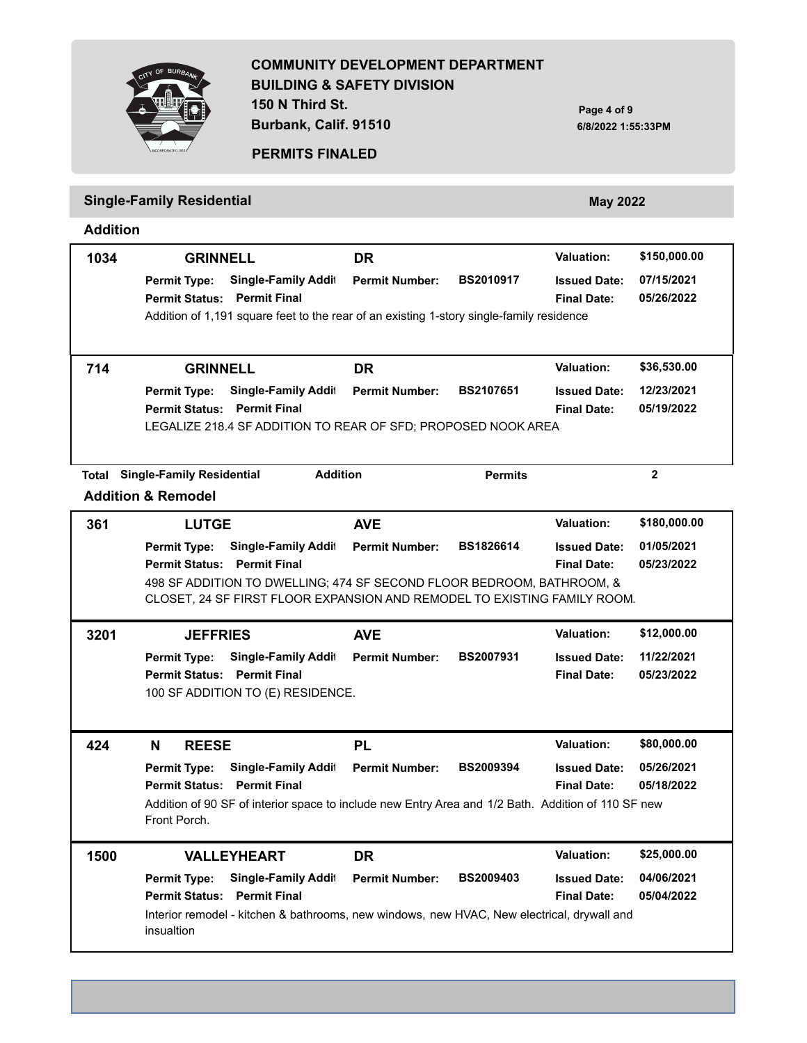**150 N Third St.**

**Burbank, Calif. 91510**

**Page 4 of 9 6/8/2022 1:55:33PM**



# **PERMITS FINALED**

# **Single-Family Residential** *May 2022* **May 2022**

**Addition**

| 1034 | <b>GRINNELL</b>                                                                                                    | <b>DR</b>             |                  | <b>Valuation:</b>                         | \$150,000.00             |
|------|--------------------------------------------------------------------------------------------------------------------|-----------------------|------------------|-------------------------------------------|--------------------------|
|      | Single-Family Addit<br><b>Permit Type:</b><br><b>Permit Status: Permit Final</b>                                   | <b>Permit Number:</b> | <b>BS2010917</b> | <b>Issued Date:</b><br><b>Final Date:</b> | 07/15/2021<br>05/26/2022 |
|      | Addition of 1,191 square feet to the rear of an existing 1-story single-family residence                           |                       |                  |                                           |                          |
| 714  | <b>GRINNELL</b>                                                                                                    | <b>DR</b>             |                  | <b>Valuation:</b>                         | \$36,530.00              |
|      | Single-Family Addit<br><b>Permit Type:</b><br><b>Permit Status: Permit Final</b>                                   | <b>Permit Number:</b> | <b>BS2107651</b> | <b>Issued Date:</b><br><b>Final Date:</b> | 12/23/2021<br>05/19/2022 |
|      | LEGALIZE 218.4 SF ADDITION TO REAR OF SFD; PROPOSED NOOK AREA                                                      |                       |                  |                                           |                          |
|      | <b>Addition</b><br><b>Total Single-Family Residential</b>                                                          |                       | <b>Permits</b>   |                                           | $\mathbf{2}$             |
|      | <b>Addition &amp; Remodel</b>                                                                                      |                       |                  |                                           |                          |
| 361  | <b>LUTGE</b>                                                                                                       | <b>AVE</b>            |                  | <b>Valuation:</b>                         | \$180,000.00             |
|      | <b>Single-Family Addit</b><br><b>Permit Type:</b>                                                                  | <b>Permit Number:</b> | BS1826614        | <b>Issued Date:</b>                       | 01/05/2021               |
|      | <b>Permit Status: Permit Final</b>                                                                                 |                       |                  | <b>Final Date:</b>                        | 05/23/2022               |
|      | 498 SF ADDITION TO DWELLING; 474 SF SECOND FLOOR BEDROOM, BATHROOM, &                                              |                       |                  |                                           |                          |
|      | CLOSET, 24 SF FIRST FLOOR EXPANSION AND REMODEL TO EXISTING FAMILY ROOM.                                           |                       |                  |                                           |                          |
| 3201 | <b>JEFFRIES</b>                                                                                                    | <b>AVE</b>            |                  | <b>Valuation:</b>                         | \$12,000.00              |
|      | Single-Family Addit<br><b>Permit Type:</b>                                                                         | <b>Permit Number:</b> | BS2007931        | <b>Issued Date:</b>                       | 11/22/2021               |
|      | <b>Permit Status: Permit Final</b>                                                                                 |                       |                  | <b>Final Date:</b>                        | 05/23/2022               |
|      | 100 SF ADDITION TO (E) RESIDENCE.                                                                                  |                       |                  |                                           |                          |
| 424  | N<br><b>REESE</b>                                                                                                  | <b>PL</b>             |                  | <b>Valuation:</b>                         | \$80,000.00              |
|      | <b>Single-Family Addit</b><br><b>Permit Type:</b>                                                                  | <b>Permit Number:</b> | <b>BS2009394</b> | <b>Issued Date:</b>                       | 05/26/2021               |
|      | <b>Permit Status: Permit Final</b>                                                                                 |                       |                  | <b>Final Date:</b>                        | 05/18/2022               |
|      | Addition of 90 SF of interior space to include new Entry Area and 1/2 Bath. Addition of 110 SF new<br>Front Porch. |                       |                  |                                           |                          |
| 1500 | <b>VALLEYHEART</b>                                                                                                 | <b>DR</b>             |                  | <b>Valuation:</b>                         | \$25,000.00              |
|      | <b>Permit Type:</b><br><b>Single-Family Addit</b>                                                                  | <b>Permit Number:</b> | BS2009403        | <b>Issued Date:</b>                       | 04/06/2021               |
|      | <b>Permit Status: Permit Final</b>                                                                                 |                       |                  | <b>Final Date:</b>                        | 05/04/2022               |
|      | Interior remodel - kitchen & bathrooms, new windows, new HVAC, New electrical, drywall and<br>insualtion           |                       |                  |                                           |                          |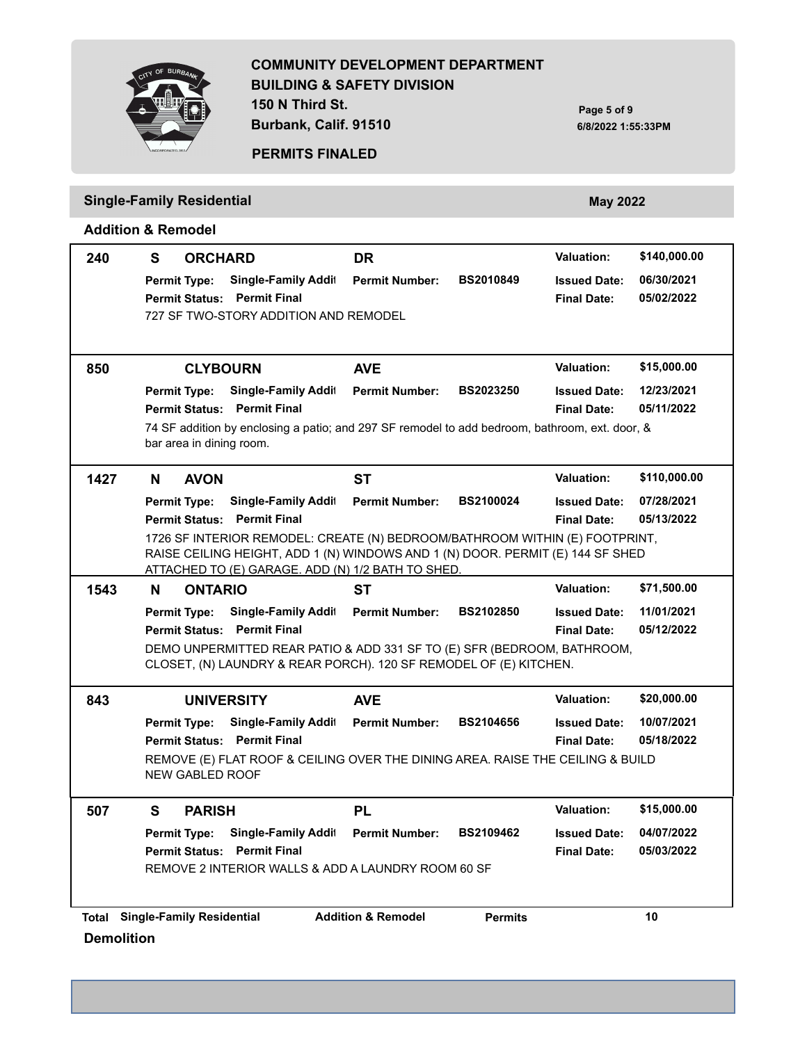**150 N Third St. Burbank, Calif. 91510**

**Page 5 of 9 6/8/2022 1:55:33PM**



#### **PERMITS FINALED**

# **Single-Family Residential** *May 2022* **May 2022**

#### **Addition & Remodel**

| 240               | S<br><b>ORCHARD</b>                                                                                                                                                                                                                     | <b>DR</b>                                       | <b>Valuation:</b>                                                     | \$140,000.00 |  |  |  |
|-------------------|-----------------------------------------------------------------------------------------------------------------------------------------------------------------------------------------------------------------------------------------|-------------------------------------------------|-----------------------------------------------------------------------|--------------|--|--|--|
|                   | <b>Single-Family Addit</b><br><b>Permit Type:</b><br><b>Permit Status: Permit Final</b><br>727 SF TWO-STORY ADDITION AND REMODEL                                                                                                        | <b>BS2010849</b><br><b>Permit Number:</b>       | 06/30/2021<br><b>Issued Date:</b><br>05/02/2022<br><b>Final Date:</b> |              |  |  |  |
| 850               | <b>CLYBOURN</b>                                                                                                                                                                                                                         | <b>AVE</b>                                      | \$15,000.00<br><b>Valuation:</b>                                      |              |  |  |  |
|                   | <b>Single-Family Addit</b><br><b>Permit Type:</b><br><b>Permit Status: Permit Final</b><br>74 SF addition by enclosing a patio; and 297 SF remodel to add bedroom, bathroom, ext. door, &<br>bar area in dining room.                   | <b>Permit Number:</b><br><b>BS2023250</b>       | 12/23/2021<br><b>Issued Date:</b><br>05/11/2022<br><b>Final Date:</b> |              |  |  |  |
| 1427              | <b>AVON</b><br>N.                                                                                                                                                                                                                       | <b>ST</b>                                       | <b>Valuation:</b>                                                     | \$110,000.00 |  |  |  |
|                   | <b>Single-Family Addit</b><br><b>Permit Type:</b><br><b>Permit Status: Permit Final</b>                                                                                                                                                 | <b>Permit Number:</b><br><b>BS2100024</b>       | 07/28/2021<br><b>Issued Date:</b><br>05/13/2022<br><b>Final Date:</b> |              |  |  |  |
|                   | 1726 SF INTERIOR REMODEL: CREATE (N) BEDROOM/BATHROOM WITHIN (E) FOOTPRINT,<br>RAISE CEILING HEIGHT, ADD 1 (N) WINDOWS AND 1 (N) DOOR. PERMIT (E) 144 SF SHED<br>ATTACHED TO (E) GARAGE. ADD (N) 1/2 BATH TO SHED.                      |                                                 |                                                                       |              |  |  |  |
| 1543              | N<br><b>ONTARIO</b>                                                                                                                                                                                                                     | <b>ST</b>                                       | <b>Valuation:</b><br>\$71,500.00                                      |              |  |  |  |
|                   | <b>Single-Family Addit</b><br><b>Permit Type:</b><br><b>Permit Status: Permit Final</b><br>DEMO UNPERMITTED REAR PATIO & ADD 331 SF TO (E) SFR (BEDROOM, BATHROOM,<br>CLOSET, (N) LAUNDRY & REAR PORCH). 120 SF REMODEL OF (E) KITCHEN. | <b>Permit Number:</b><br><b>BS2102850</b>       | 11/01/2021<br><b>Issued Date:</b><br>05/12/2022<br><b>Final Date:</b> |              |  |  |  |
| 843               | <b>UNIVERSITY</b>                                                                                                                                                                                                                       | <b>AVE</b>                                      | <b>Valuation:</b><br>\$20,000.00                                      |              |  |  |  |
|                   | <b>Single-Family Addit</b><br><b>Permit Type:</b><br><b>Permit Status: Permit Final</b><br>REMOVE (E) FLAT ROOF & CEILING OVER THE DINING AREA. RAISE THE CEILING & BUILD<br><b>NEW GABLED ROOF</b>                                     | <b>Permit Number:</b><br><b>BS2104656</b>       | 10/07/2021<br><b>Issued Date:</b><br><b>Final Date:</b><br>05/18/2022 |              |  |  |  |
| 507               | S<br><b>PARISH</b>                                                                                                                                                                                                                      | <b>PL</b>                                       | <b>Valuation:</b><br>\$15,000.00                                      |              |  |  |  |
|                   | <b>Permit Type:</b><br><b>Single-Family Addit</b><br><b>Permit Status: Permit Final</b><br>REMOVE 2 INTERIOR WALLS & ADD A LAUNDRY ROOM 60 SF                                                                                           | BS2109462<br><b>Permit Number:</b>              | 04/07/2022<br><b>Issued Date:</b><br>05/03/2022<br><b>Final Date:</b> |              |  |  |  |
| <b>Demolition</b> | <b>Total Single-Family Residential</b>                                                                                                                                                                                                  | <b>Addition &amp; Remodel</b><br><b>Permits</b> | 10                                                                    |              |  |  |  |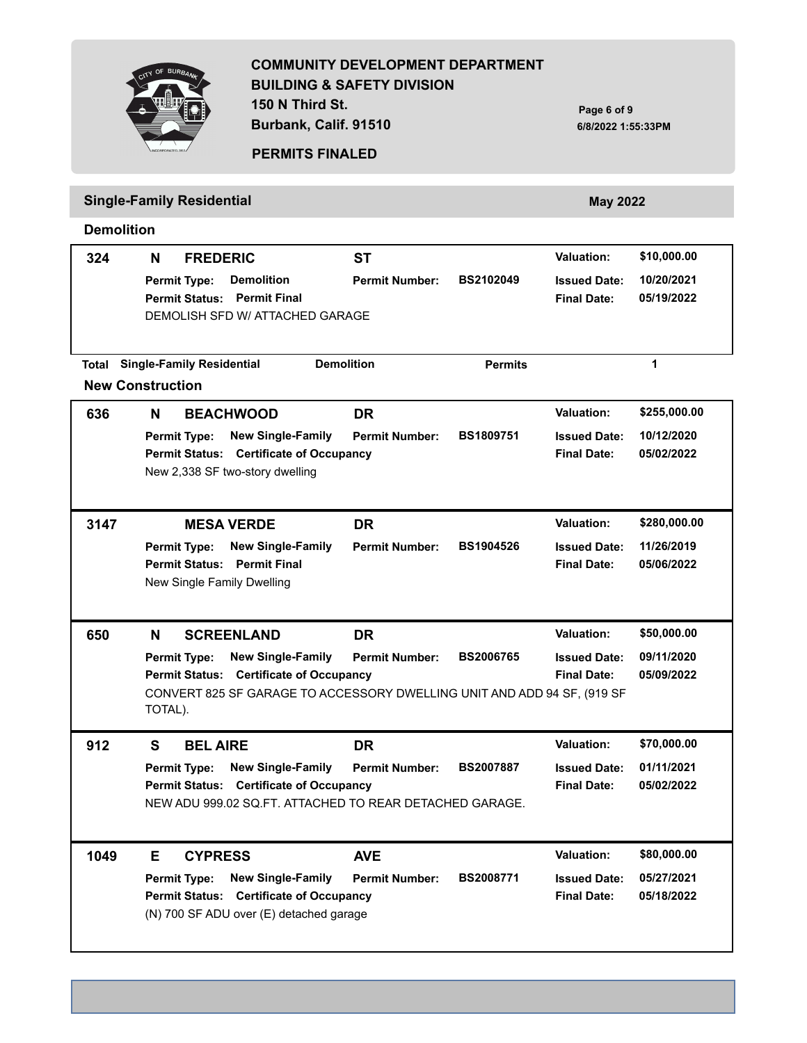### **COMMUNITY DEVELOPMENT DEPARTMENT BUILDING & SAFETY DIVISION 150 N Third St.**

**Page 6 of 9 6/8/2022 1:55:33PM**



**PERMITS FINALED**

**Burbank, Calif. 91510**

# **Single-Family Residential** *May 2022* **May 2022**

**Demolition**

| 324                     | N       | <b>FREDERIC</b>                  |                                                                         | <b>ST</b>             |                  | <b>Valuation:</b>   | \$10,000.00  |
|-------------------------|---------|----------------------------------|-------------------------------------------------------------------------|-----------------------|------------------|---------------------|--------------|
|                         |         | Permit Type:                     | <b>Demolition</b>                                                       | <b>Permit Number:</b> | <b>BS2102049</b> | <b>Issued Date:</b> | 10/20/2021   |
|                         |         |                                  | <b>Permit Status: Permit Final</b><br>DEMOLISH SFD W/ ATTACHED GARAGE   |                       |                  | <b>Final Date:</b>  | 05/19/2022   |
|                         |         |                                  |                                                                         |                       |                  |                     |              |
| <b>Total</b>            |         | <b>Single-Family Residential</b> |                                                                         | <b>Demolition</b>     | <b>Permits</b>   |                     | $\mathbf{1}$ |
| <b>New Construction</b> |         |                                  |                                                                         |                       |                  |                     |              |
| 636                     | N       |                                  | <b>BEACHWOOD</b>                                                        | <b>DR</b>             |                  | <b>Valuation:</b>   | \$255,000.00 |
|                         |         | <b>Permit Type:</b>              | <b>New Single-Family</b>                                                | <b>Permit Number:</b> | BS1809751        | <b>Issued Date:</b> | 10/12/2020   |
|                         |         |                                  | <b>Permit Status: Certificate of Occupancy</b>                          |                       |                  | <b>Final Date:</b>  | 05/02/2022   |
|                         |         |                                  | New 2,338 SF two-story dwelling                                         |                       |                  |                     |              |
|                         |         |                                  |                                                                         |                       |                  |                     |              |
| 3147                    |         |                                  | <b>MESA VERDE</b>                                                       | <b>DR</b>             |                  | <b>Valuation:</b>   | \$280,000.00 |
|                         |         | Permit Type:                     | <b>New Single-Family</b>                                                | <b>Permit Number:</b> | <b>BS1904526</b> | <b>Issued Date:</b> | 11/26/2019   |
|                         |         |                                  | Permit Status: Permit Final                                             |                       |                  | <b>Final Date:</b>  | 05/06/2022   |
|                         |         |                                  | New Single Family Dwelling                                              |                       |                  |                     |              |
|                         |         |                                  |                                                                         |                       |                  |                     |              |
| 650                     | N       |                                  | <b>SCREENLAND</b>                                                       | <b>DR</b>             |                  | <b>Valuation:</b>   | \$50,000.00  |
|                         |         | <b>Permit Type:</b>              | <b>New Single-Family</b>                                                | <b>Permit Number:</b> | <b>BS2006765</b> | <b>Issued Date:</b> | 09/11/2020   |
|                         |         |                                  | Permit Status: Certificate of Occupancy                                 |                       |                  | <b>Final Date:</b>  | 05/09/2022   |
|                         | TOTAL). |                                  | CONVERT 825 SF GARAGE TO ACCESSORY DWELLING UNIT AND ADD 94 SF, (919 SF |                       |                  |                     |              |
|                         |         |                                  |                                                                         |                       |                  |                     |              |
| 912                     | S       | <b>BEL AIRE</b>                  |                                                                         | <b>DR</b>             |                  | <b>Valuation:</b>   | \$70,000.00  |
|                         |         | <b>Permit Type:</b>              | <b>New Single-Family</b>                                                | <b>Permit Number:</b> | <b>BS2007887</b> | <b>Issued Date:</b> | 01/11/2021   |
|                         |         |                                  | <b>Permit Status: Certificate of Occupancy</b>                          |                       |                  | <b>Final Date:</b>  | 05/02/2022   |
|                         |         |                                  | NEW ADU 999.02 SQ.FT. ATTACHED TO REAR DETACHED GARAGE.                 |                       |                  |                     |              |
|                         |         |                                  |                                                                         |                       |                  |                     |              |
| 1049                    | E.      | <b>CYPRESS</b>                   |                                                                         | <b>AVE</b>            |                  | <b>Valuation:</b>   | \$80,000.00  |
|                         |         | <b>Permit Type:</b>              | <b>New Single-Family</b>                                                | <b>Permit Number:</b> | <b>BS2008771</b> | <b>Issued Date:</b> | 05/27/2021   |
|                         |         |                                  | <b>Permit Status: Certificate of Occupancy</b>                          |                       |                  | <b>Final Date:</b>  | 05/18/2022   |
|                         |         |                                  | (N) 700 SF ADU over (E) detached garage                                 |                       |                  |                     |              |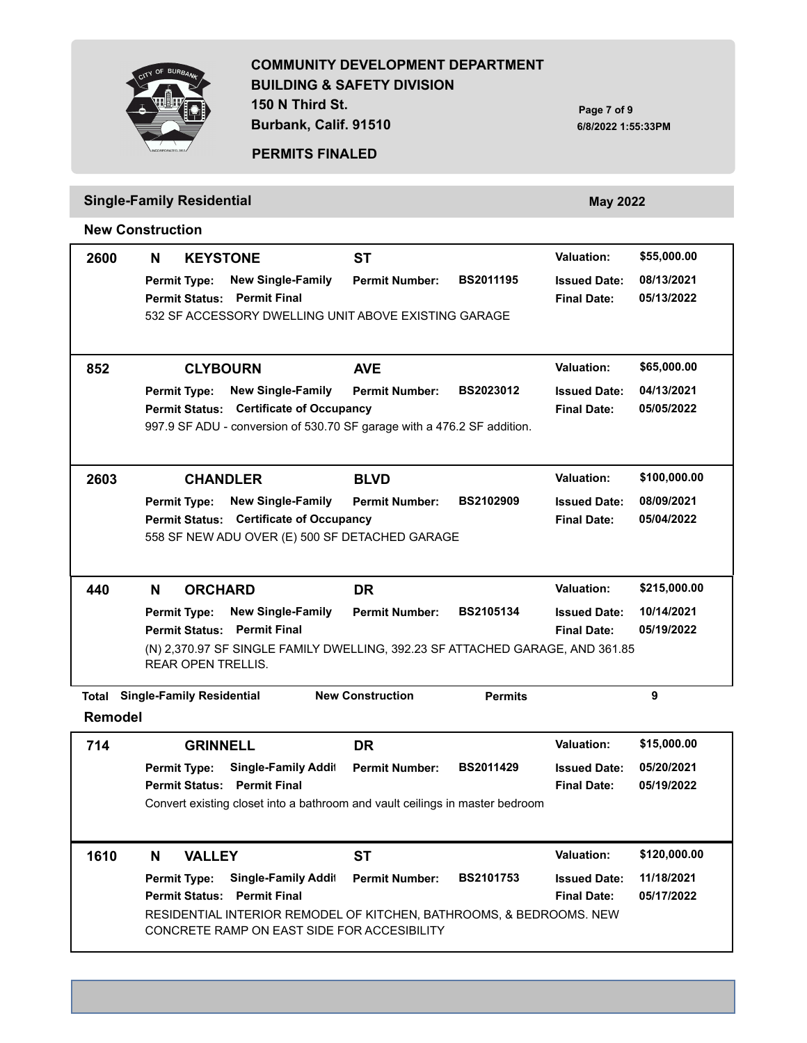

**150 N Third St. Burbank, Calif. 91510**

**Page 7 of 9 6/8/2022 1:55:33PM**



#### **PERMITS FINALED**

# **Single-Family Residential** *May 2022* **May 2022**

**New Construction**

| 2600             | N                   | <b>KEYSTONE</b>                              |                                                                                                                                        | <b>ST</b>               |                  | <b>Valuation:</b>                         | \$55,000.00              |
|------------------|---------------------|----------------------------------------------|----------------------------------------------------------------------------------------------------------------------------------------|-------------------------|------------------|-------------------------------------------|--------------------------|
|                  |                     | <b>Permit Type:</b><br><b>Permit Status:</b> | <b>New Single-Family</b><br><b>Permit Final</b>                                                                                        | <b>Permit Number:</b>   | <b>BS2011195</b> | <b>Issued Date:</b><br><b>Final Date:</b> | 08/13/2021<br>05/13/2022 |
|                  |                     |                                              | 532 SF ACCESSORY DWELLING UNIT ABOVE EXISTING GARAGE                                                                                   |                         |                  |                                           |                          |
| 852              |                     | <b>CLYBOURN</b>                              |                                                                                                                                        | <b>AVE</b>              |                  | <b>Valuation:</b>                         | \$65,000.00              |
|                  | <b>Permit Type:</b> | <b>Permit Status:</b>                        | <b>New Single-Family</b><br><b>Certificate of Occupancy</b><br>997.9 SF ADU - conversion of 530.70 SF garage with a 476.2 SF addition. | <b>Permit Number:</b>   | <b>BS2023012</b> | <b>Issued Date:</b><br><b>Final Date:</b> | 04/13/2021<br>05/05/2022 |
| 2603             |                     | <b>CHANDLER</b>                              |                                                                                                                                        | <b>BLVD</b>             |                  | <b>Valuation:</b>                         | \$100,000.00             |
|                  | <b>Permit Type:</b> | <b>Permit Status:</b>                        | <b>New Single-Family</b><br><b>Certificate of Occupancy</b><br>558 SF NEW ADU OVER (E) 500 SF DETACHED GARAGE                          | <b>Permit Number:</b>   | <b>BS2102909</b> | <b>Issued Date:</b><br><b>Final Date:</b> | 08/09/2021<br>05/04/2022 |
|                  |                     |                                              |                                                                                                                                        |                         |                  |                                           |                          |
| 440              | N                   | <b>ORCHARD</b>                               |                                                                                                                                        | <b>DR</b>               |                  | <b>Valuation:</b>                         | \$215,000.00             |
|                  | <b>Permit Type:</b> | <b>Permit Status:</b><br>REAR OPEN TRELLIS.  | <b>New Single-Family</b><br><b>Permit Final</b><br>(N) 2,370.97 SF SINGLE FAMILY DWELLING, 392.23 SF ATTACHED GARAGE, AND 361.85       | <b>Permit Number:</b>   | <b>BS2105134</b> | <b>Issued Date:</b><br><b>Final Date:</b> | 10/14/2021<br>05/19/2022 |
|                  |                     | <b>Single-Family Residential</b>             |                                                                                                                                        | <b>New Construction</b> | <b>Permits</b>   |                                           | 9                        |
| Total<br>Remodel |                     |                                              |                                                                                                                                        |                         |                  |                                           |                          |
| 714              |                     | <b>GRINNELL</b>                              |                                                                                                                                        | <b>DR</b>               |                  | <b>Valuation:</b>                         | \$15,000.00              |
|                  | <b>Permit Type:</b> |                                              | Single-Family Addit                                                                                                                    | <b>Permit Number:</b>   | <b>BS2011429</b> | <b>Issued Date:</b>                       | 05/20/2021               |
|                  |                     |                                              | <b>Permit Status: Permit Final</b><br>Convert existing closet into a bathroom and vault ceilings in master bedroom                     |                         |                  | <b>Final Date:</b>                        | 05/19/2022               |
|                  |                     |                                              |                                                                                                                                        |                         |                  |                                           |                          |
| 1610             | N                   | <b>VALLEY</b>                                |                                                                                                                                        | <b>ST</b>               |                  | <b>Valuation:</b>                         | \$120,000.00             |
|                  | <b>Permit Type:</b> |                                              | Single-Family Addit<br><b>Permit Status: Permit Final</b><br>RESIDENTIAL INTERIOR REMODEL OF KITCHEN, BATHROOMS, & BEDROOMS. NEW       | <b>Permit Number:</b>   | <b>BS2101753</b> | <b>Issued Date:</b><br><b>Final Date:</b> | 11/18/2021<br>05/17/2022 |
|                  |                     |                                              | CONCRETE RAMP ON EAST SIDE FOR ACCESIBILITY                                                                                            |                         |                  |                                           |                          |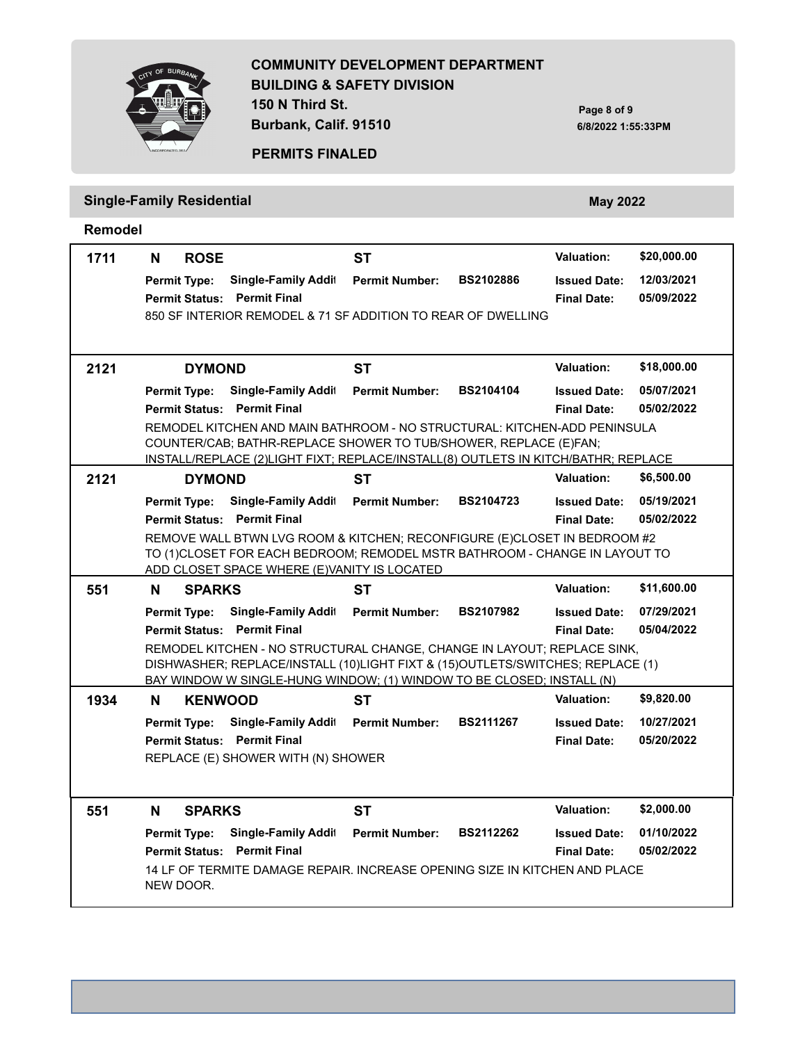**150 N Third St.**

**Burbank, Calif. 91510**

**Page 8 of 9 6/8/2022 1:55:33PM**



# **PERMITS FINALED**

# **Single-Family Residential** *May 2022* **May 2022**

**Remodel**

| 1711 | N<br><b>ROSE</b>                            |                            | ST                                                                                                                                                        |                  | <b>Valuation:</b>   | \$20,000.00 |
|------|---------------------------------------------|----------------------------|-----------------------------------------------------------------------------------------------------------------------------------------------------------|------------------|---------------------|-------------|
|      | <b>Permit Type:</b>                         | Single-Family Addit        | <b>Permit Number:</b>                                                                                                                                     | <b>BS2102886</b> | <b>Issued Date:</b> | 12/03/2021  |
|      | <b>Permit Status: Permit Final</b>          |                            |                                                                                                                                                           |                  | <b>Final Date:</b>  | 05/09/2022  |
|      |                                             |                            | 850 SF INTERIOR REMODEL & 71 SF ADDITION TO REAR OF DWELLING                                                                                              |                  |                     |             |
|      |                                             |                            |                                                                                                                                                           |                  |                     |             |
| 2121 | <b>DYMOND</b>                               |                            | ST                                                                                                                                                        |                  | <b>Valuation:</b>   | \$18,000.00 |
|      | <b>Permit Type:</b>                         | Single-Family Addit        | <b>Permit Number:</b>                                                                                                                                     | <b>BS2104104</b> | <b>Issued Date:</b> | 05/07/2021  |
|      | <b>Permit Status: Permit Final</b>          |                            |                                                                                                                                                           |                  | <b>Final Date:</b>  | 05/02/2022  |
|      |                                             |                            | REMODEL KITCHEN AND MAIN BATHROOM - NO STRUCTURAL: KITCHEN-ADD PENINSULA<br>COUNTER/CAB; BATHR-REPLACE SHOWER TO TUB/SHOWER, REPLACE (E)FAN;              |                  |                     |             |
|      |                                             |                            | INSTALL/REPLACE (2)LIGHT FIXT; REPLACE/INSTALL(8) OUTLETS IN KITCH/BATHR; REPLACE                                                                         |                  |                     |             |
| 2121 | <b>DYMOND</b>                               |                            | <b>ST</b>                                                                                                                                                 |                  | <b>Valuation:</b>   | \$6,500.00  |
|      | <b>Permit Type:</b>                         | Single-Family Addit        | <b>Permit Number:</b>                                                                                                                                     | <b>BS2104723</b> | <b>Issued Date:</b> | 05/19/2021  |
|      | <b>Permit Status: Permit Final</b>          |                            |                                                                                                                                                           |                  | <b>Final Date:</b>  | 05/02/2022  |
|      |                                             |                            | REMOVE WALL BTWN LVG ROOM & KITCHEN; RECONFIGURE (E)CLOSET IN BEDROOM #2<br>TO (1)CLOSET FOR EACH BEDROOM; REMODEL MSTR BATHROOM - CHANGE IN LAYOUT TO    |                  |                     |             |
|      | ADD CLOSET SPACE WHERE (E)VANITY IS LOCATED |                            |                                                                                                                                                           |                  |                     |             |
| 551  | <b>SPARKS</b><br>N                          |                            | <b>ST</b>                                                                                                                                                 |                  | <b>Valuation:</b>   | \$11,600.00 |
|      | <b>Permit Type:</b>                         | <b>Single-Family Addit</b> | <b>Permit Number:</b>                                                                                                                                     | <b>BS2107982</b> | <b>Issued Date:</b> | 07/29/2021  |
|      | <b>Permit Status: Permit Final</b>          |                            |                                                                                                                                                           |                  | <b>Final Date:</b>  | 05/04/2022  |
|      |                                             |                            | REMODEL KITCHEN - NO STRUCTURAL CHANGE, CHANGE IN LAYOUT; REPLACE SINK,<br>DISHWASHER; REPLACE/INSTALL (10)LIGHT FIXT & (15)OUTLETS/SWITCHES; REPLACE (1) |                  |                     |             |
|      |                                             |                            | BAY WINDOW W SINGLE-HUNG WINDOW; (1) WINDOW TO BE CLOSED; INSTALL (N)                                                                                     |                  |                     |             |
| 1934 | <b>KENWOOD</b><br>N                         |                            | <b>ST</b>                                                                                                                                                 |                  | <b>Valuation:</b>   | \$9,820.00  |
|      | <b>Permit Type:</b>                         | <b>Single-Family Addit</b> | <b>Permit Number:</b>                                                                                                                                     | <b>BS2111267</b> | <b>Issued Date:</b> | 10/27/2021  |
|      | <b>Permit Status: Permit Final</b>          |                            |                                                                                                                                                           |                  | <b>Final Date:</b>  | 05/20/2022  |
|      | REPLACE (E) SHOWER WITH (N) SHOWER          |                            |                                                                                                                                                           |                  |                     |             |
|      |                                             |                            |                                                                                                                                                           |                  |                     |             |
| 551  | <b>SPARKS</b><br>N                          |                            | ST.                                                                                                                                                       |                  | <b>Valuation:</b>   | \$2,000.00  |
|      | <b>Permit Type:</b>                         | <b>Single-Family Addit</b> | <b>Permit Number:</b>                                                                                                                                     | <b>BS2112262</b> | <b>Issued Date:</b> | 01/10/2022  |
|      | <b>Permit Status: Permit Final</b>          |                            |                                                                                                                                                           |                  | <b>Final Date:</b>  | 05/02/2022  |
|      | NEW DOOR.                                   |                            | 14 LF OF TERMITE DAMAGE REPAIR. INCREASE OPENING SIZE IN KITCHEN AND PLACE                                                                                |                  |                     |             |
|      |                                             |                            |                                                                                                                                                           |                  |                     |             |